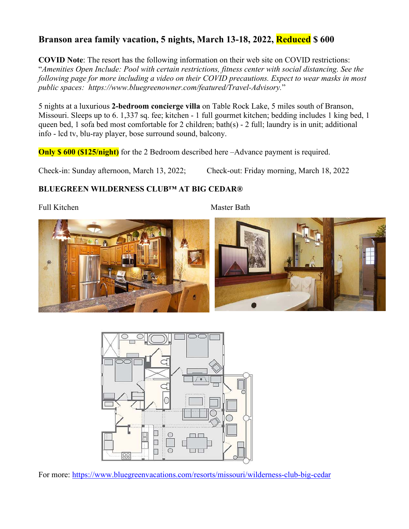## **Branson area family vacation, 5 nights, March 13-18, 2022, Reduced \$ 600**

**COVID Note**: The resort has the following information on their web site on COVID restrictions: "*Amenities Open Include: Pool with certain restrictions, fitness center with social distancing. See the following page for more including a video on their COVID precautions. Expect to wear masks in most public spaces: https://www.bluegreenowner.com/featured/Travel-Advisory.*"

5 nights at a luxurious **2-bedroom concierge villa** on Table Rock Lake, 5 miles south of Branson, Missouri. Sleeps up to 6. 1,337 sq. fee; kitchen - 1 full gourmet kitchen; bedding includes 1 king bed, 1 queen bed, 1 sofa bed most comfortable for 2 children; bath(s) - 2 full; laundry is in unit; additional info - lcd tv, blu-ray player, bose surround sound, balcony.

**Only \$ 600 (\$125/night)** for the 2 Bedroom described here –Advance payment is required.

Check-in: Sunday afternoon, March 13, 2022; Check-out: Friday morning, March 18, 2022

## **BLUEGREEN WILDERNESS CLUB™ AT BIG CEDAR®**

Full Kitchen Master Bath





For more: https://www.bluegreenvacations.com/resorts/missouri/wilderness-club-big-cedar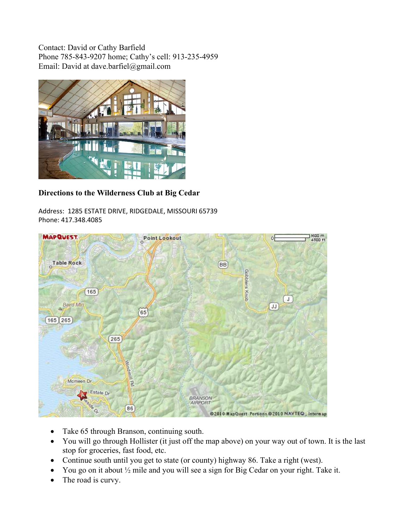Contact: David or Cathy Barfield Phone 785-843-9207 home; Cathy's cell: 913-235-4959 Email: David at dave.barfiel@gmail.com



## **Directions to the Wilderness Club at Big Cedar**

Address: 1285 ESTATE DRIVE, RIDGEDALE, MISSOURI 65739 Phone: 417.348.4085



- Take 65 through Branson, continuing south.
- You will go through Hollister (it just off the map above) on your way out of town. It is the last stop for groceries, fast food, etc.
- Continue south until you get to state (or county) highway 86. Take a right (west).
- You go on it about ½ mile and you will see a sign for Big Cedar on your right. Take it.
- The road is curvy.